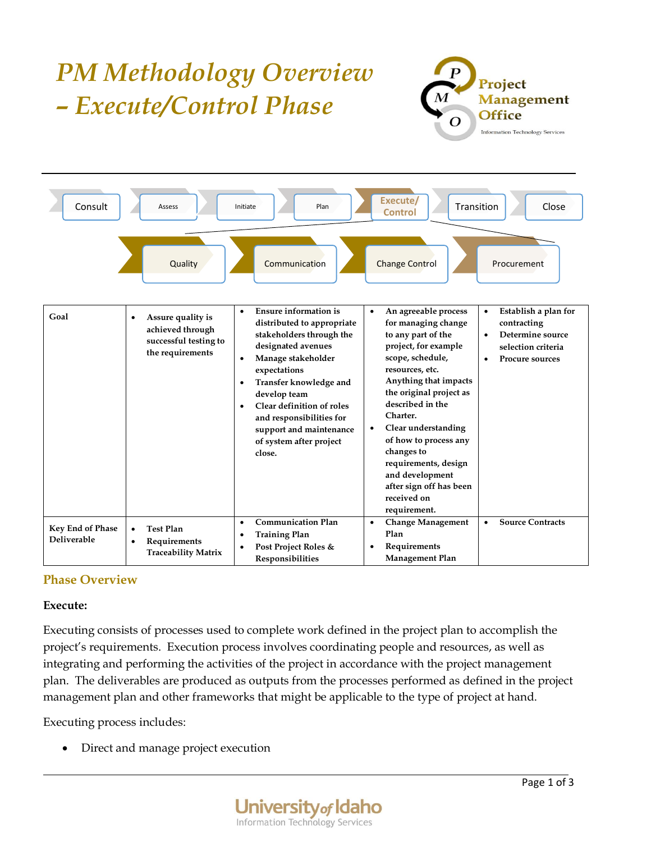#### *PM Methodology Overview*   $\boldsymbol{P}$ Project *– Execute/Control Phase* **Management Office** Information Technology Services **Consult Assess All Initiate Plan Plan Plan Control Execute/** Transition **Close** Quality Communication Change Control Procurement • **Ensure information is**  • **An agreeable process**  • **Establish a plan for Goal** • **Assure quality is distributed to appropriate for managing change contracting achieved through stakeholders through the to any part of the**  • **Determine source successful testing to project, for example designated avenues selection criteria the requirements scope, schedule,**  • **Manage stakeholder**  • **Procure sources resources, etc. expectations Anything that impacts**  • **Transfer knowledge and the original project as develop team described in the**  • **Clear definition of roles Charter. and responsibilities for**  • **Clear understanding support and maintenance of how to process any of system after project changes to close. requirements, design and development after sign off has been received on requirement.** • **Communication Plan** • **Change Management**  • **Source Contracts Key End of Phase**  • **Test Plan** • **Training Plan Plan Deliverable** • **Requirements**  • **Post Project Roles &**  • **Requirements Traceability Matrix Management Plan Responsibilities**

# **Phase Overview**

## **Execute:**

Executing consists of processes used to complete work defined in the project plan to accomplish the project's requirements. Execution process involves coordinating people and resources, as well as integrating and performing the activities of the project in accordance with the project management plan. The deliverables are produced as outputs from the processes performed as defined in the project management plan and other frameworks that might be applicable to the type of project at hand.

Executing process includes:

• Direct and manage project execution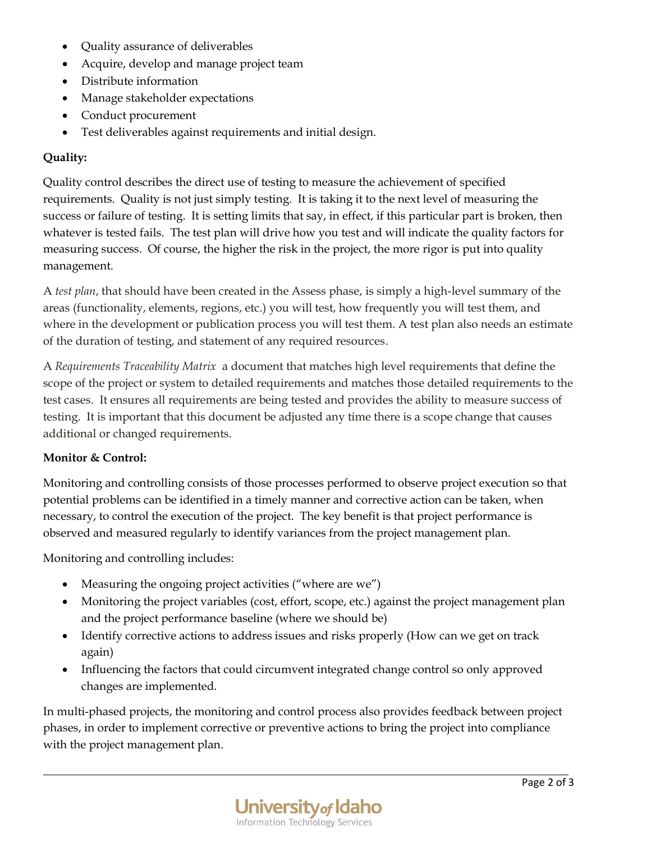- Quality assurance of deliverables
- Acquire, develop and manage project team
- Distribute information
- Manage stakeholder expectations
- Conduct procurement
- Test deliverables against requirements and initial design.

## **Quality:**

Quality control describes the direct use of testing to measure the achievement of specified requirements. Quality is not just simply testing. It is taking it to the next level of measuring the success or failure of testing. It is setting limits that say, in effect, if this particular part is broken, then whatever is tested fails. The test plan will drive how you test and will indicate the quality factors for measuring success. Of course, the higher the risk in the project, the more rigor is put into quality management.

A *test plan*, that should have been created in the Assess phase, is simply a high-level summary of the areas (functionality, elements, regions, etc.) you will test, how frequently you will test them, and where in the development or publication process you will test them. A test plan also needs an estimate of the duration of testing, and statement of any required resources.

A *Requirements Traceability Matrix* a document that matches high level requirements that define the scope of the project or system to detailed requirements and matches those detailed requirements to the test cases. It ensures all requirements are being tested and provides the ability to measure success of testing. It is important that this document be adjusted any time there is a scope change that causes additional or changed requirements.

## **Monitor & Control:**

Monitoring and controlling consists of those processes performed to observe project execution so that potential problems can be identified in a timely manner and corrective action can be taken, when necessary, to control the execution of the project. The key benefit is that project performance is observed and measured regularly to identify variances from the project management plan.

Monitoring and controlling includes:

- Measuring the ongoing project activities ("where are we")
- Monitoring the project variables (cost, effort, scope, etc.) against the project management plan and the project performance baseline (where we should be)
- Identify corrective actions to address issues and risks properly (How can we get on track again)
- Influencing the factors that could circumvent integrated change control so only approved changes are implemented.

In multi-phased projects, the monitoring and control process also provides feedback between project phases, in order to implement corrective or preventive actions to bring the project into compliance with the project management plan.